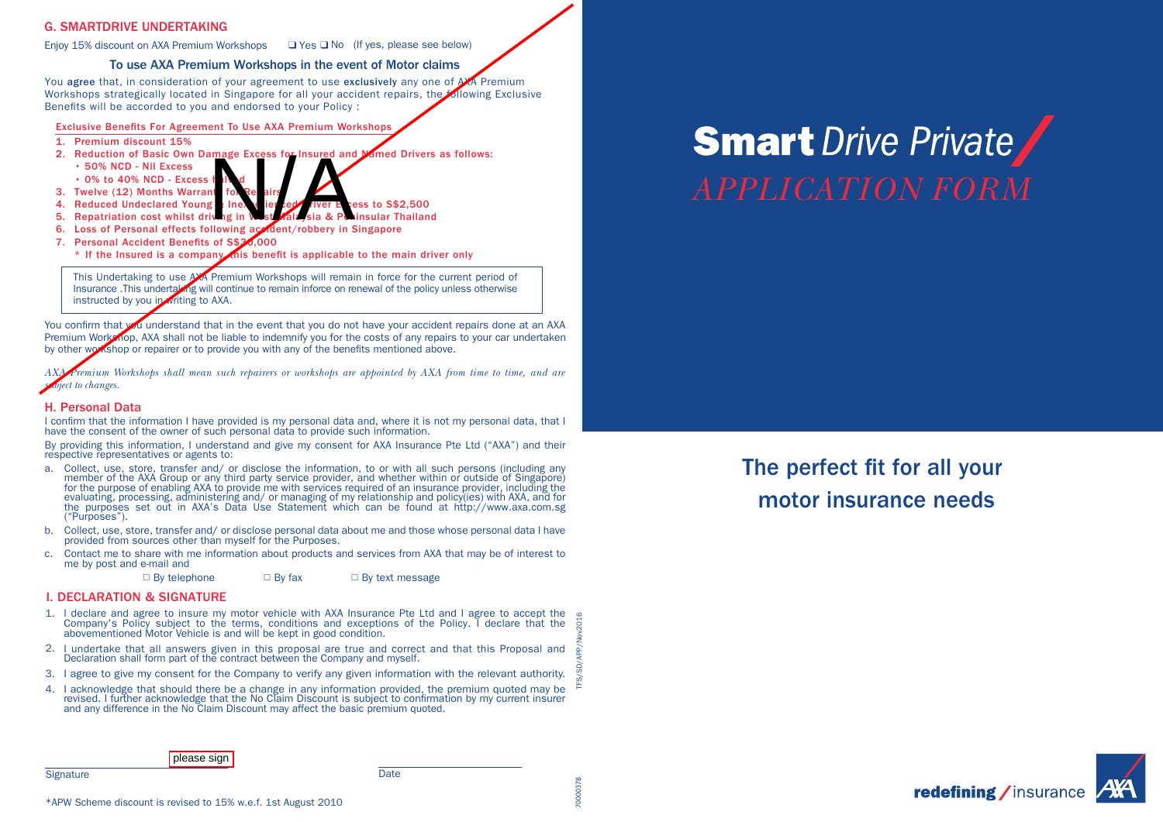# G. SMARTDRIVE UNDERTAKING

Enjoy 15% discount on AXA Premium Workshops  $\Box$  Yes  $\Box$  No (If yes, please see below)

# To use AXA Premium Workshops in the event of Motor claims

You agree that, in consideration of your agreement to use exclusively any one of AXA Premium Workshops strategically located in Singapore for all your accident repairs, the following Exclusive Benefits will be accorded to you and endorsed to your Policy :

Exclusive Benefits For Agreement To Use AXA Premium Workshops

- 1. Premium discount 15%
- 2. Reduction of Basic Own Damage Excess for Insured and Named Drivers as follows:
	- 50% NCD Nil Excess
	- $\cdot$  0% to 40% NCD Excess
- 3. Twelve (12) Months Warran
- 4. Reduced Undeclared Young  $\frac{1}{2}$  lnex and Driver Excess to S\$2,500<br>5. Repatriation cost whilst driving in West Mala sia & Peninsular Thailand amage Excess for Insured and<br>
It In d<br>
It In to be airs<br>
it Inex<br>
it in the straits, sia & Put<br>
Illowing action (robbery in S
- 5. Repatriation cost whilst driven
- 6. Loss of Personal effects following accident/robbery in Singapore<br>7. Personal Accident Benefits of S\$34,000 7. Personal Accident Benefits of S\$
- \* If the Insured is a company this benefit is applicable to the main driver only

This Undertaking to use AXA Premium Workshops will remain in force for the current period of Insurance .This undertaking will continue to remain inforce on renewal of the policy unless otherwise instructed by you in writing to AXA.

You confirm that you understand that in the event that you do not have your accident repairs done at an AXA Premium Workshop, AXA shall not be liable to indemnify you for the costs of any repairs to your car undertaken by other workshop or repairer or to provide you with any of the benefits mentioned above.

*AXA Premium Workshops shall mean such repairers or workshops are appointed by AXA from time to time, and are subject to changes.*

# H. Personal Data

**Signature** 

I confirm that the information I have provided is my personal data and, where it is not my personal data, that I have the consent of the owner of such personal data to provide such information.

By providing this information, I understand and give my consent for AXA Insurance Pte Ltd ("AXA") and their respective representatives or agents to:

- a. Collect, use, store, transfer and/ or disclose the information, to or with all such persons (including any member of the AXA Group or any third party service provider, and whether within or outside of Singapore) for the purpose of enabling AXA to provide me with services required of an insurance provider, including the evaluating, processing, administering and/ or managing of my relationship and policy(ies) with AXA, and for the purposes set out in AXA's Data Use Statement which can be found at http://www.axa.com.sg ("Purposes").
- b. Collect, use, store, transfer and/ or disclose personal data about me and those whose personal data I have provided from sources other than myself for the Purposes.
- c. Contact me to share with me information about products and services from AXA that may be of interest to me by post and e-mail and

 $\Box$  By telephone  $\Box$  By fax  $\Box$  By text message

# I. DECLARATION & SIGNATURE

- 1. I declare and agree to insure my motor vehicle with AXA Insurance Pte Ltd and I agree to accept the abovementioned Motor Vehicle is and will be kept in good condition. Company's Policy subject to the terms, conditions and exceptions of the Policy. I declare that the TFS/SD/APP/Nov2016
- 2. I undertake that all answers given in this proposal are true and correct and that this Proposal and Declaration shall form part of the contract between the Company and myself.
- 3. I agree to give my consent for the Company to verify any given information with the relevant authority.
- 4. I acknowledge that should there be a change in any information provided, the premium quoted may be revised. I further acknowledge that the No Claim Discount is subject to confirmation by my current insurer and any difference in the No Claim Discount may affect the basic premium quoted.

Date

# **Smart** Drive Private *APPLICATION FORM*

The perfect fit for all your motor insurance needs



**please** sign

70000378 00037